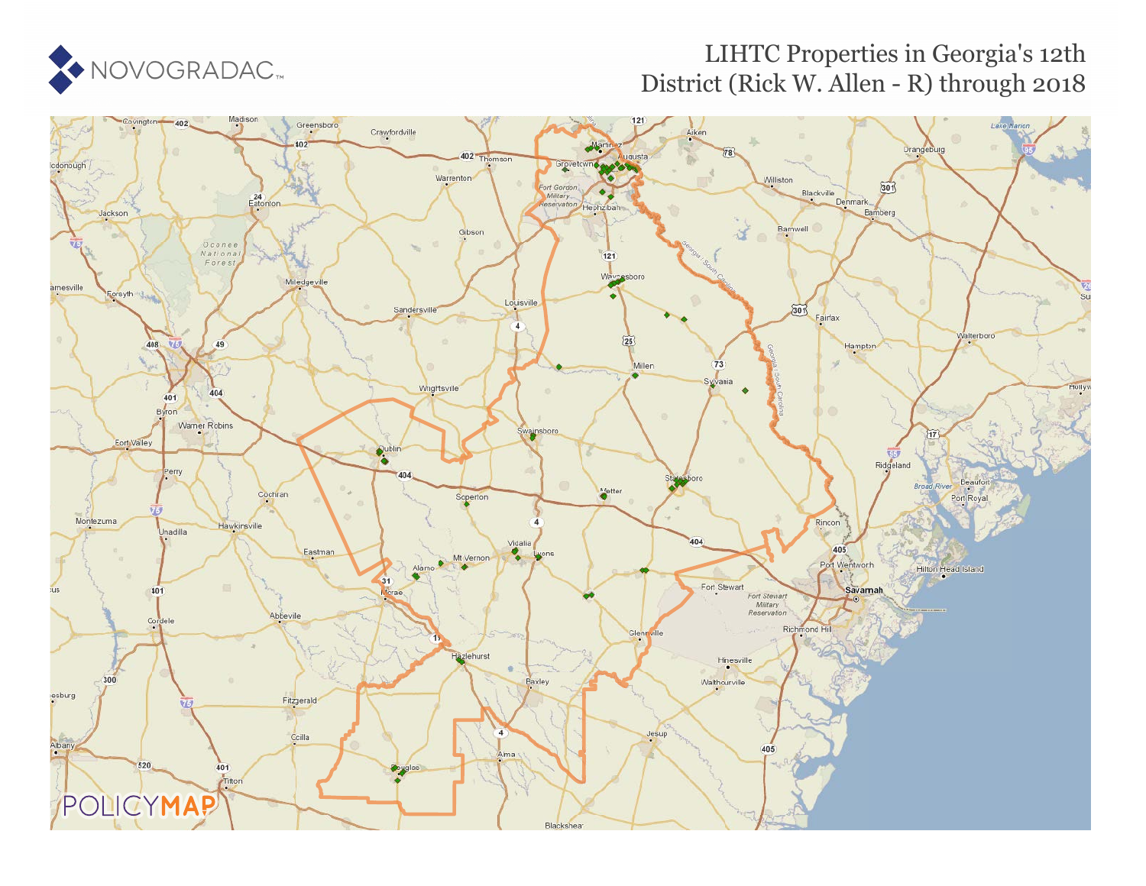# NOVOGRADAC<sup>®</sup>

## LIHTC Properties in Georgia's 12th District (Rick W. Allen - R) through 2018

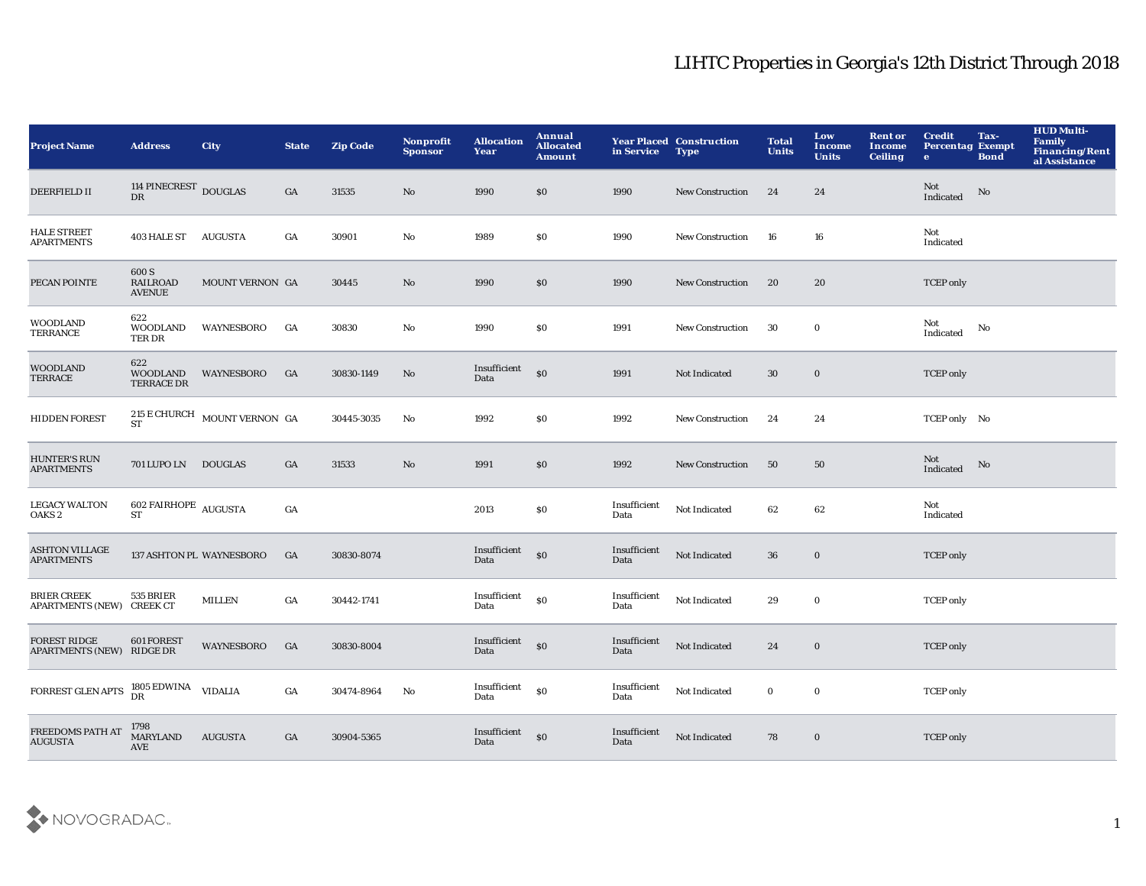| <b>Project Name</b>                                      | <b>Address</b>                              | <b>City</b>                  | <b>State</b> | <b>Zip Code</b>     | Nonprofit<br><b>Sponsor</b> | <b>Allocation</b><br>Year          | Annual<br><b>Allocated</b><br>Amount | in Service           | <b>Year Placed Construction</b><br><b>Type</b> | <b>Total</b><br><b>Units</b> | Low<br><b>Income</b><br><b>Units</b> | <b>Rent or</b><br>Income<br><b>Ceiling</b> | <b>Credit</b><br><b>Percentag Exempt</b><br>$\bullet$ | Tax-<br><b>Bond</b> | <b>HUD Multi-</b><br><b>Family</b><br>Financing/Rent<br>al Assistance |
|----------------------------------------------------------|---------------------------------------------|------------------------------|--------------|---------------------|-----------------------------|------------------------------------|--------------------------------------|----------------------|------------------------------------------------|------------------------------|--------------------------------------|--------------------------------------------|-------------------------------------------------------|---------------------|-----------------------------------------------------------------------|
| <b>DEERFIELD II</b>                                      | 114 PINECREST DOUGLAS<br>DR                 |                              | GA           | 31535               | No                          | 1990                               | \$0                                  | 1990                 | <b>New Construction</b>                        | 24                           | 24                                   |                                            | Not<br>Indicated                                      | No                  |                                                                       |
| <b>HALE STREET</b><br><b>APARTMENTS</b>                  | 403 HALE ST AUGUSTA                         |                              | GA           | 30901               | No                          | 1989                               | <b>SO</b>                            | 1990                 | <b>New Construction</b>                        | 16                           | 16                                   |                                            | Not<br>Indicated                                      |                     |                                                                       |
| PECAN POINTE                                             | 600 S<br><b>RAILROAD</b><br><b>AVENUE</b>   | MOUNT VERNON GA              |              | 30445               | No                          | 1990                               | \$0                                  | 1990                 | <b>New Construction</b>                        | 20                           | 20                                   |                                            | <b>TCEP</b> only                                      |                     |                                                                       |
| <b>WOODLAND</b><br><b>TERRANCE</b>                       | 622<br><b>WOODLAND</b><br>TER DR            | <b>WAYNESBORO</b>            | GA           | 30830               | No                          | 1990                               | \$0                                  | 1991                 | New Construction                               | 30                           | $\bf{0}$                             |                                            | Not<br>Indicated                                      | No                  |                                                                       |
| <b>WOODLAND</b><br>TERRACE                               | 622<br><b>WOODLAND</b><br><b>TERRACE DR</b> | <b>WAYNESBORO</b>            | GA           | 30830-1149          | No                          | Insufficient<br>Data               | \$0                                  | 1991                 | Not Indicated                                  | 30                           | $\bf{0}$                             |                                            | <b>TCEP</b> only                                      |                     |                                                                       |
| <b>HIDDEN FOREST</b>                                     | <b>ST</b>                                   | 215 E CHURCH MOUNT VERNON GA |              | $30445\hbox{-}3035$ | $\mathbf{No}$               | 1992                               | \$0                                  | 1992                 | <b>New Construction</b>                        | 24                           | 24                                   |                                            | TCEP only No                                          |                     |                                                                       |
| <b>HUNTER'S RUN</b><br><b>APARTMENTS</b>                 | 701 LUPO LN DOUGLAS                         |                              | GA           | 31533               | No                          | 1991                               | \$0                                  | 1992                 | <b>New Construction</b>                        | 50                           | 50                                   |                                            | Not<br>Indicated                                      | No                  |                                                                       |
| <b>LEGACY WALTON</b><br>OAKS <sub>2</sub>                | $602$ FAIRHOPE $\,$ AUGUSTA $S\!T$          |                              | GA           |                     |                             | 2013                               | \$0                                  | Insufficient<br>Data | Not Indicated                                  | 62                           | 62                                   |                                            | Not<br>Indicated                                      |                     |                                                                       |
| <b>ASHTON VILLAGE</b><br><b>APARTMENTS</b>               |                                             | 137 ASHTON PL WAYNESBORO     | GA           | 30830-8074          |                             | Insufficient<br>Data               | \$0                                  | Insufficient<br>Data | Not Indicated                                  | 36                           | $\bf{0}$                             |                                            | <b>TCEP</b> only                                      |                     |                                                                       |
| <b>BRIER CREEK</b><br>APARTMENTS (NEW) CREEK CT          | 535 BRIER                                   | <b>MILLEN</b>                | GA           | 30442-1741          |                             | Insufficient<br>Data               | \$0                                  | Insufficient<br>Data | Not Indicated                                  | 29                           | $\bf{0}$                             |                                            | <b>TCEP</b> only                                      |                     |                                                                       |
| <b>FOREST RIDGE</b><br>APARTMENTS (NEW) RIDGE DR         | 601 FOREST                                  | <b>WAYNESBORO</b>            | GA           | 30830-8004          |                             | Insufficient <sub>SO</sub><br>Data |                                      | Insufficient<br>Data | Not Indicated                                  | 24                           | $\bf{0}$                             |                                            | <b>TCEP</b> only                                      |                     |                                                                       |
| FORREST GLEN APTS ${}^{1805}_{\text{DR}}$ EDWINA VIDALIA |                                             |                              | GA           | 30474-8964          | No                          | Insufficient<br>Data               | \$0                                  | Insufficient<br>Data | Not Indicated                                  | $\bf{0}$                     | $\bf{0}$                             |                                            | <b>TCEP</b> only                                      |                     |                                                                       |
| FREEDOMS PATH AT<br><b>AUGUSTA</b>                       | 1798<br>MARYLAND<br>AVE                     | <b>AUGUSTA</b>               | GA           | 30904-5365          |                             | Insufficient<br>Data               | \$0                                  | Insufficient<br>Data | Not Indicated                                  | 78                           | $\bf{0}$                             |                                            | <b>TCEP</b> only                                      |                     |                                                                       |

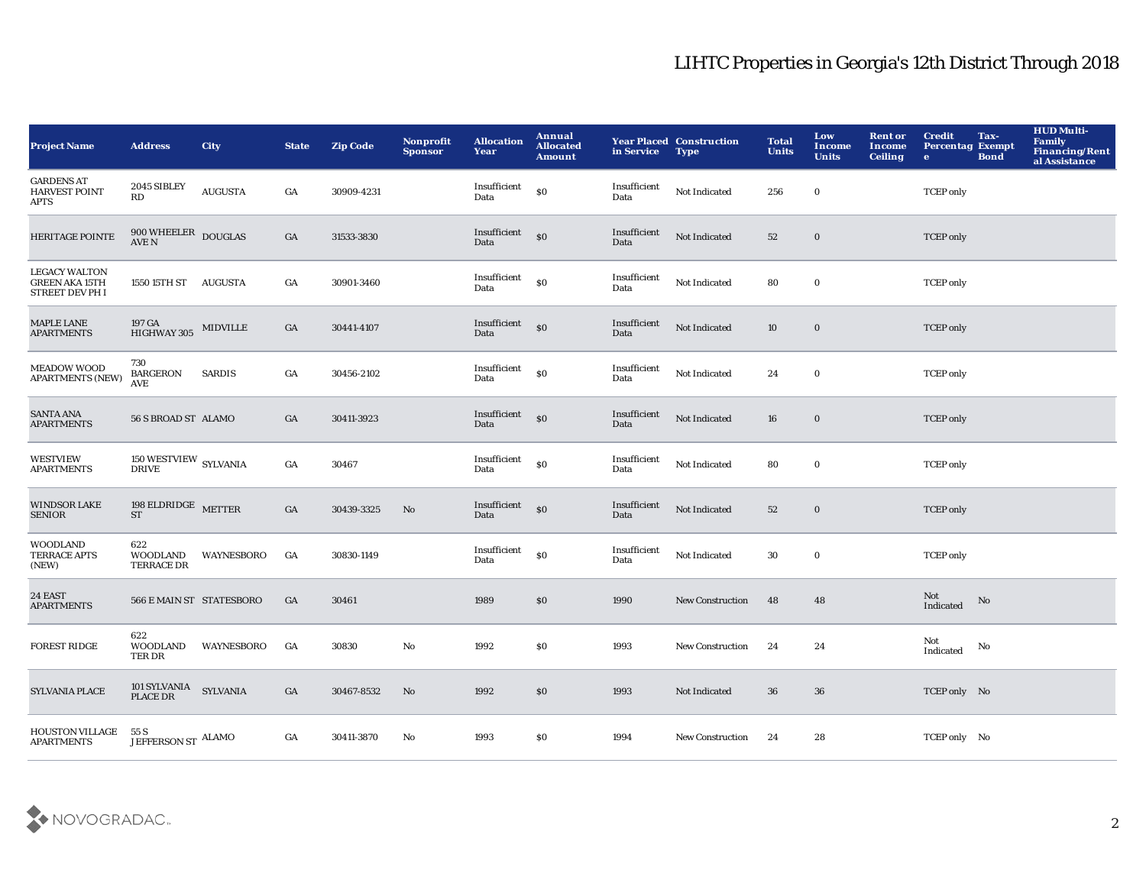| <b>Project Name</b>                                              | <b>Address</b>                         | <b>City</b>       | <b>State</b>     | <b>Zip Code</b> | Nonprofit<br><b>Sponsor</b> | <b>Allocation</b><br>Year | Annual<br><b>Allocated</b><br><b>Amount</b> | in Service           | <b>Year Placed Construction</b><br><b>Type</b> | <b>Total</b><br><b>Units</b> | Low<br>Income<br><b>Units</b> | <b>Rent or</b><br><b>Income</b><br><b>Ceiling</b> | <b>Credit</b><br>Tax-<br><b>Percentag Exempt</b><br><b>Bond</b><br>$\bullet$ | <b>HUD Multi-</b><br><b>Family</b><br>Financing/Rent<br>al Assistance |
|------------------------------------------------------------------|----------------------------------------|-------------------|------------------|-----------------|-----------------------------|---------------------------|---------------------------------------------|----------------------|------------------------------------------------|------------------------------|-------------------------------|---------------------------------------------------|------------------------------------------------------------------------------|-----------------------------------------------------------------------|
| <b>GARDENS AT</b><br><b>HARVEST POINT</b><br>APTS                | 2045 SIBLEY<br>$\mathbf{R}\mathbf{D}$  | <b>AUGUSTA</b>    | GA               | 30909-4231      |                             | Insufficient<br>Data      | \$0                                         | Insufficient<br>Data | Not Indicated                                  | 256                          | $\bf{0}$                      |                                                   | <b>TCEP</b> only                                                             |                                                                       |
| <b>HERITAGE POINTE</b>                                           | $900 \, \rm{WHEELER}$ DOUGLAS AVE N    |                   | GA               | 31533-3830      |                             | Insufficient<br>Data      | SO <sub>2</sub>                             | Insufficient<br>Data | Not Indicated                                  | 52                           | $\bf{0}$                      |                                                   | <b>TCEP</b> only                                                             |                                                                       |
| <b>LEGACY WALTON</b><br><b>GREEN AKA 15TH</b><br>STREET DEV PH I | 1550 15TH ST AUGUSTA                   |                   | GA               | 30901-3460      |                             | Insufficient<br>Data      | \$0                                         | Insufficient<br>Data | Not Indicated                                  | 80                           | $\mathbf 0$                   |                                                   | <b>TCEP</b> only                                                             |                                                                       |
| <b>MAPLE LANE</b><br><b>APARTMENTS</b>                           | 197 GA<br>HIGHWAY 305 MIDVILLE         |                   | GA               | 30441-4107      |                             | Insufficient<br>Data      | $\$0$                                       | Insufficient<br>Data | Not Indicated                                  | 10                           | $\mathbf 0$                   |                                                   | <b>TCEP</b> only                                                             |                                                                       |
| <b>MEADOW WOOD</b><br>APARTMENTS (NEW)                           | 730<br><b>BARGERON</b><br><b>AVE</b>   | <b>SARDIS</b>     | $_{\mathrm{GA}}$ | 30456-2102      |                             | Insufficient<br>Data      | $\$0$                                       | Insufficient<br>Data | Not Indicated                                  | 24                           | $\mathbf 0$                   |                                                   | <b>TCEP</b> only                                                             |                                                                       |
| <b>SANTA ANA</b><br><b>APARTMENTS</b>                            | 56 S BROAD ST ALAMO                    |                   | GA               | 30411-3923      |                             | Insufficient<br>Data      | \$0                                         | Insufficient<br>Data | Not Indicated                                  | 16                           | $\bf{0}$                      |                                                   | <b>TCEP</b> only                                                             |                                                                       |
| <b>WESTVIEW</b><br><b>APARTMENTS</b>                             | 150 WESTVIEW SYLVANIA<br><b>DRIVE</b>  |                   | GA               | 30467           |                             | Insufficient<br>Data      | \$0                                         | Insufficient<br>Data | Not Indicated                                  | 80                           | $\mathbf 0$                   |                                                   | <b>TCEP</b> only                                                             |                                                                       |
| <b>WINDSOR LAKE</b><br><b>SENIOR</b>                             | 198 $\rm ELDRIDGE$ METTER<br><b>ST</b> |                   | GA               | 30439-3325      | $\mathbf{N}\mathbf{o}$      | Insufficient<br>Data      | $\mathbf{S}$                                | Insufficient<br>Data | Not Indicated                                  | 52                           | $\bf{0}$                      |                                                   | <b>TCEP</b> only                                                             |                                                                       |
| <b>WOODLAND</b><br>TERRACE APTS<br>(NEW)                         | 622<br>WOODLAND<br><b>TERRACE DR</b>   | WAYNESBORO        | GA               | 30830-1149      |                             | Insufficient<br>Data      | $\bf{S0}$                                   | Insufficient<br>Data | Not Indicated                                  | 30                           | $\mathbf 0$                   |                                                   | <b>TCEP</b> only                                                             |                                                                       |
| 24 EAST<br><b>APARTMENTS</b>                                     | 566 E MAIN ST STATESBORO               |                   | GA               | 30461           |                             | 1989                      | \$0                                         | 1990                 | New Construction                               | 48                           | 48                            |                                                   | Not<br>No<br>Indicated                                                       |                                                                       |
| <b>FOREST RIDGE</b>                                              | 622<br>WOODLAND<br>TER DR              | <b>WAYNESBORO</b> | GA               | 30830           | No                          | 1992                      | \$0                                         | 1993                 | <b>New Construction</b>                        | 24                           | 24                            |                                                   | Not<br>No<br>Indicated                                                       |                                                                       |
| <b>SYLVANIA PLACE</b>                                            | 101 SYLVANIA SYLVANIA<br>PLACE DR      |                   | GA               | 30467-8532      | No                          | 1992                      | \$0                                         | 1993                 | Not Indicated                                  | 36                           | 36                            |                                                   | TCEP only No                                                                 |                                                                       |
| <b>HOUSTON VILLAGE</b><br><b>APARTMENTS</b>                      | 55 S<br>JEFFERSON ST ALAMO             |                   | GA               | 30411-3870      | No                          | 1993                      | \$0                                         | 1994                 | <b>New Construction</b>                        | 24                           | 28                            |                                                   | TCEP only No                                                                 |                                                                       |

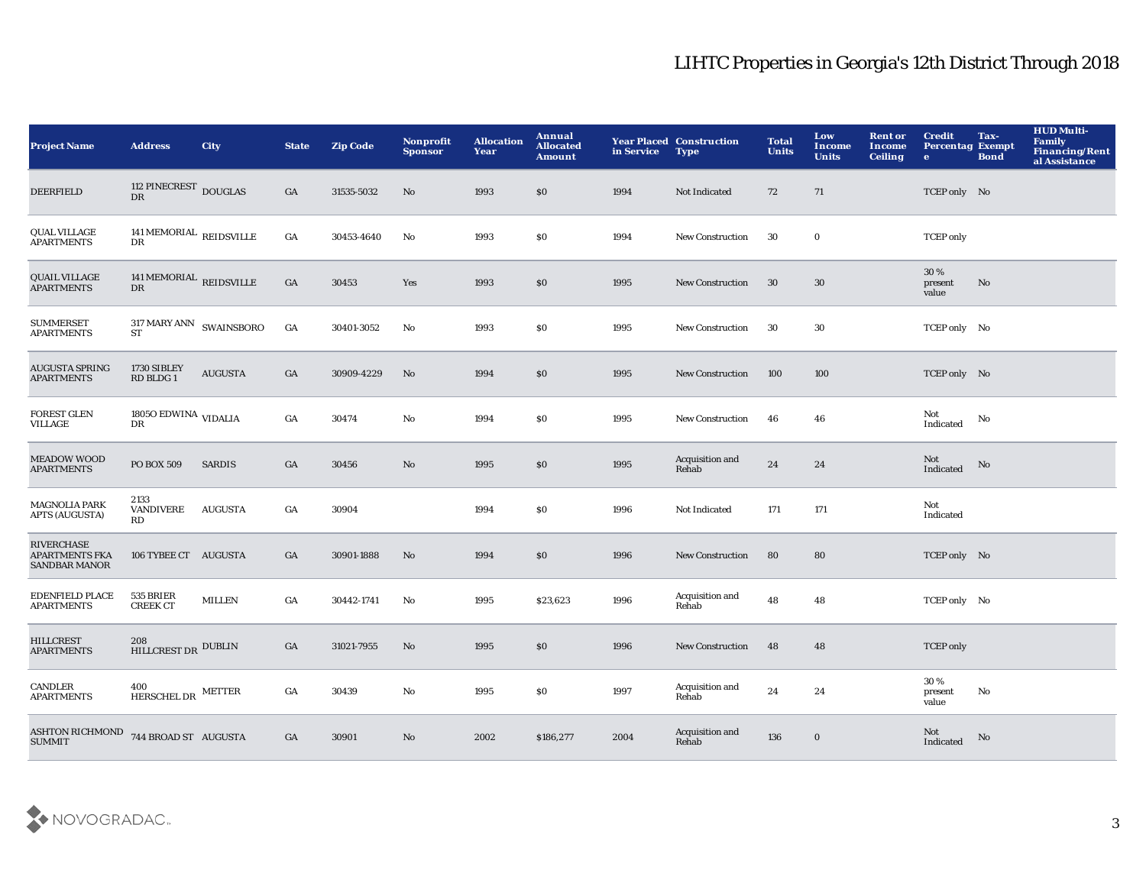| <b>Project Name</b>                                                | <b>Address</b>                              | <b>City</b>    | <b>State</b>     | <b>Zip Code</b> | Nonprofit<br><b>Sponsor</b> | <b>Allocation</b><br>Year | Annual<br><b>Allocated</b><br>Amount | in Service | <b>Year Placed Construction</b><br><b>Type</b> | <b>Total</b><br><b>Units</b> | Low<br><b>Income</b><br><b>Units</b> | <b>Rent or</b><br>Income<br><b>Ceiling</b> | <b>Credit</b><br><b>Percentag Exempt</b><br>$\mathbf{e}$ | Tax-<br><b>Bond</b> | <b>HUD Multi-</b><br><b>Family</b><br>Financing/Rent<br>al Assistance |
|--------------------------------------------------------------------|---------------------------------------------|----------------|------------------|-----------------|-----------------------------|---------------------------|--------------------------------------|------------|------------------------------------------------|------------------------------|--------------------------------------|--------------------------------------------|----------------------------------------------------------|---------------------|-----------------------------------------------------------------------|
| <b>DEERFIELD</b>                                                   | 112 PINECREST DOUGLAS<br>DR                 |                | GA               | 31535-5032      | No                          | 1993                      | \$0                                  | 1994       | Not Indicated                                  | 72                           | 71                                   |                                            | TCEP only No                                             |                     |                                                                       |
| <b>QUAL VILLAGE</b><br><b>APARTMENTS</b>                           | 141 MEMORIAL REIDSVILLE<br>DR               |                | GA               | 30453-4640      | $\mathbf{No}$               | 1993                      | \$0                                  | 1994       | New Construction                               | 30                           | $\bf{0}$                             |                                            | <b>TCEP</b> only                                         |                     |                                                                       |
| <b>QUAIL VILLAGE</b><br><b>APARTMENTS</b>                          | 141 MEMORIAL REIDSVILLE<br>DR               |                | GA               | 30453           | Yes                         | 1993                      | \$0                                  | 1995       | <b>New Construction</b>                        | 30                           | 30                                   |                                            | 30 %<br>present<br>value                                 | $\mathbf {No}$      |                                                                       |
| <b>SUMMERSET</b><br><b>APARTMENTS</b>                              | $317$ MARY ANN $\,$ SWAINSBORO<br><b>ST</b> |                | $_{\mathrm{GA}}$ | 30401-3052      | $\mathbf{No}$               | 1993                      | \$0                                  | 1995       | New Construction                               | 30                           | 30                                   |                                            | TCEP only No                                             |                     |                                                                       |
| <b>AUGUSTA SPRING</b><br><b>APARTMENTS</b>                         | 1730 SIBLEY<br>RD BLDG 1                    | <b>AUGUSTA</b> | GA               | 30909-4229      | No                          | 1994                      | \$0                                  | 1995       | <b>New Construction</b>                        | 100                          | 100                                  |                                            | TCEP only No                                             |                     |                                                                       |
| <b>FOREST GLEN</b><br>VILLAGE                                      | 1805<br>O $\rm{EDWINA}$ VIDALIA<br>DR       |                | GA               | 30474           | No                          | 1994                      | \$0                                  | 1995       | <b>New Construction</b>                        | 46                           | 46                                   |                                            | Not<br>Indicated                                         | No                  |                                                                       |
| <b>MEADOW WOOD</b><br><b>APARTMENTS</b>                            | PO BOX 509                                  | <b>SARDIS</b>  | GA               | 30456           | No                          | 1995                      | \$0                                  | 1995       | Acquisition and<br>Rehab                       | $\bf 24$                     | 24                                   |                                            | Not<br>$\operatorname{Indicated}$                        | No                  |                                                                       |
| <b>MAGNOLIA PARK</b><br><b>APTS (AUGUSTA)</b>                      | 2133<br><b>VANDIVERE</b><br>RD              | <b>AUGUSTA</b> | GA               | 30904           |                             | 1994                      | \$0                                  | 1996       | Not Indicated                                  | 171                          | 171                                  |                                            | Not<br>Indicated                                         |                     |                                                                       |
| <b>RIVERCHASE</b><br><b>APARTMENTS FKA</b><br><b>SANDBAR MANOR</b> | 106 TYBEE CT AUGUSTA                        |                | GA               | 30901-1888      | No                          | 1994                      | \$0                                  | 1996       | <b>New Construction</b>                        | 80                           | 80                                   |                                            | TCEP only No                                             |                     |                                                                       |
| <b>EDENFIELD PLACE</b><br><b>APARTMENTS</b>                        | 535 BRIER<br><b>CREEK CT</b>                | <b>MILLEN</b>  | GA               | 30442-1741      | $\mathbf{No}$               | 1995                      | \$23,623                             | 1996       | Acquisition and<br>Rehab                       | 48                           | 48                                   |                                            | TCEP only No                                             |                     |                                                                       |
| <b>HILLCREST</b><br><b>APARTMENTS</b>                              | 208<br>HILLCREST DR DUBLIN                  |                | GA               | 31021-7955      | No                          | 1995                      | \$0                                  | 1996       | <b>New Construction</b>                        | 48                           | 48                                   |                                            | <b>TCEP</b> only                                         |                     |                                                                       |
| CANDLER<br><b>APARTMENTS</b>                                       | 400<br>HERSCHEL DR METTER                   |                | GA               | 30439           | No                          | 1995                      | \$0                                  | 1997       | Acquisition and<br>Rehab                       | 24                           | 24                                   |                                            | 30%<br>present<br>value                                  | No                  |                                                                       |
| ASHTON RICHMOND<br>SUMMIT                                          | 744 BROAD ST AUGUSTA                        |                | GA               | 30901           | No                          | 2002                      | \$186,277                            | 2004       | Acquisition and<br>Rehab                       | 136                          | $\bf{0}$                             |                                            | Not<br>Indicated                                         | No                  |                                                                       |

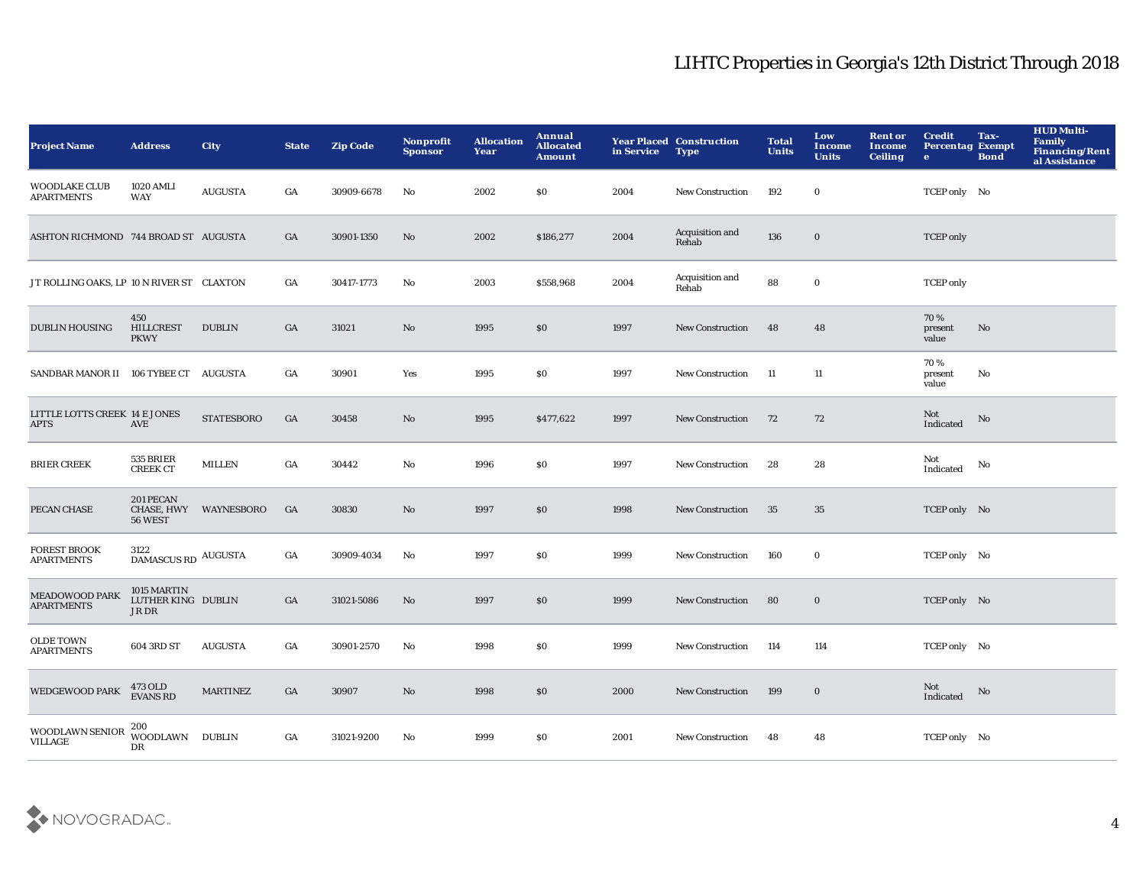| <b>Project Name</b>                          | <b>Address</b>                                   | <b>City</b>           | <b>State</b>     | <b>Zip Code</b> | <b>Nonprofit</b><br><b>Sponsor</b> | <b>Allocation</b><br>Year | Annual<br><b>Allocated</b><br><b>Amount</b> | in Service | <b>Year Placed Construction</b><br><b>Type</b> | <b>Total</b><br><b>Units</b> | Low<br><b>Income</b><br><b>Units</b> | <b>Rent or</b><br>Income<br><b>Ceiling</b> | <b>Credit</b><br><b>Percentag Exempt</b><br>$\bullet$ | Tax-<br><b>Bond</b> | <b>HUD Multi-</b><br><b>Family</b><br>Financing/Rent<br>al Assistance |
|----------------------------------------------|--------------------------------------------------|-----------------------|------------------|-----------------|------------------------------------|---------------------------|---------------------------------------------|------------|------------------------------------------------|------------------------------|--------------------------------------|--------------------------------------------|-------------------------------------------------------|---------------------|-----------------------------------------------------------------------|
| WOODLAKE CLUB<br><b>APARTMENTS</b>           | <b>1020 AMLI</b><br>WAY                          | <b>AUGUSTA</b>        | GA               | 30909-6678      | No                                 | 2002                      | <b>SO</b>                                   | 2004       | <b>New Construction</b>                        | 192                          | $\bf{0}$                             |                                            | TCEP only No                                          |                     |                                                                       |
| ASHTON RICHMOND 744 BROAD ST AUGUSTA         |                                                  |                       | GA               | 30901-1350      | No                                 | 2002                      | \$186,277                                   | 2004       | Acquisition and<br>Rehab                       | 136                          | $\mathbf 0$                          |                                            | <b>TCEP</b> only                                      |                     |                                                                       |
| JT ROLLING OAKS, LP 10 N RIVER ST CLAXTON    |                                                  |                       | GA               | 30417-1773      | No                                 | 2003                      | \$558,968                                   | 2004       | Acquisition and<br>Rehab                       | 88                           | $\mathbf 0$                          |                                            | <b>TCEP</b> only                                      |                     |                                                                       |
| <b>DUBLIN HOUSING</b>                        | 450<br><b>HILLCREST</b><br><b>PKWY</b>           | <b>DUBLIN</b>         | GA               | 31021           | $\mathbf{N}\mathbf{o}$             | 1995                      | \$0                                         | 1997       | New Construction                               | 48                           | 48                                   |                                            | 70%<br>present<br>value                               | No                  |                                                                       |
| SANDBAR MANOR II 106 TYBEE CT AUGUSTA        |                                                  |                       | GA               | 30901           | Yes                                | 1995                      | \$0                                         | 1997       | <b>New Construction</b>                        | - 11                         | 11                                   |                                            | 70%<br>present<br>value                               | No                  |                                                                       |
| LITTLE LOTTS CREEK 14 E JONES<br><b>APTS</b> | AVE                                              | <b>STATESBORO</b>     | GA               | 30458           | No                                 | 1995                      | \$477,622                                   | 1997       | New Construction                               | 72                           | 72                                   |                                            | Not<br>Indicated                                      | No                  |                                                                       |
| <b>BRIER CREEK</b>                           | 535 BRIER<br><b>CREEK CT</b>                     | <b>MILLEN</b>         | $_{\mathrm{GA}}$ | 30442           | $\rm No$                           | 1996                      | \$0                                         | 1997       | <b>New Construction</b>                        | 28                           | 28                                   |                                            | Not<br>Indicated                                      | No                  |                                                                       |
| PECAN CHASE                                  | 201 PECAN<br>56 WEST                             | CHASE, HWY WAYNESBORO | GA               | 30830           | No                                 | 1997                      | \$0                                         | 1998       | New Construction                               | 35                           | 35                                   |                                            | TCEP only No                                          |                     |                                                                       |
| <b>FOREST BROOK</b><br><b>APARTMENTS</b>     | 3122<br>DAMASCUS RD AUGUSTA                      |                       | GA               | 30909-4034      | No                                 | 1997                      | \$0                                         | 1999       | <b>New Construction</b>                        | 160                          | $\mathbf 0$                          |                                            | TCEP only No                                          |                     |                                                                       |
| MEADOWOOD PARK<br><b>APARTMENTS</b>          | 1015 MARTIN<br>LUTHER KING DUBLIN<br>$\rm JR$ DR |                       | GA               | 31021-5086      | $\mathbf{N}\mathbf{o}$             | 1997                      | \$0                                         | 1999       | <b>New Construction</b>                        | 80                           | $\bf{0}$                             |                                            | TCEP only No                                          |                     |                                                                       |
| <b>OLDE TOWN</b><br><b>APARTMENTS</b>        | 604 3RD ST                                       | <b>AUGUSTA</b>        | GA               | 30901-2570      | $\mathbf{N}\mathbf{o}$             | 1998                      | \$0                                         | 1999       | <b>New Construction</b>                        | 114                          | 114                                  |                                            | TCEP only No                                          |                     |                                                                       |
| <b>WEDGEWOOD PARK</b>                        | 473 OLD<br>EVANS RD                              | <b>MARTINEZ</b>       | GA               | 30907           | No                                 | 1998                      | \$0                                         | 2000       | <b>New Construction</b>                        | 199                          | $\bf{0}$                             |                                            | Not<br>Indicated                                      | No                  |                                                                       |
| WOODLAWN SENIOR<br><b>VILLAGE</b>            | 200<br>WOODLAWN DUBLIN<br>DR                     |                       | GA               | 31021-9200      | No                                 | 1999                      | <b>SO</b>                                   | 2001       | <b>New Construction</b>                        | 48                           | 48                                   |                                            | TCEP only No                                          |                     |                                                                       |

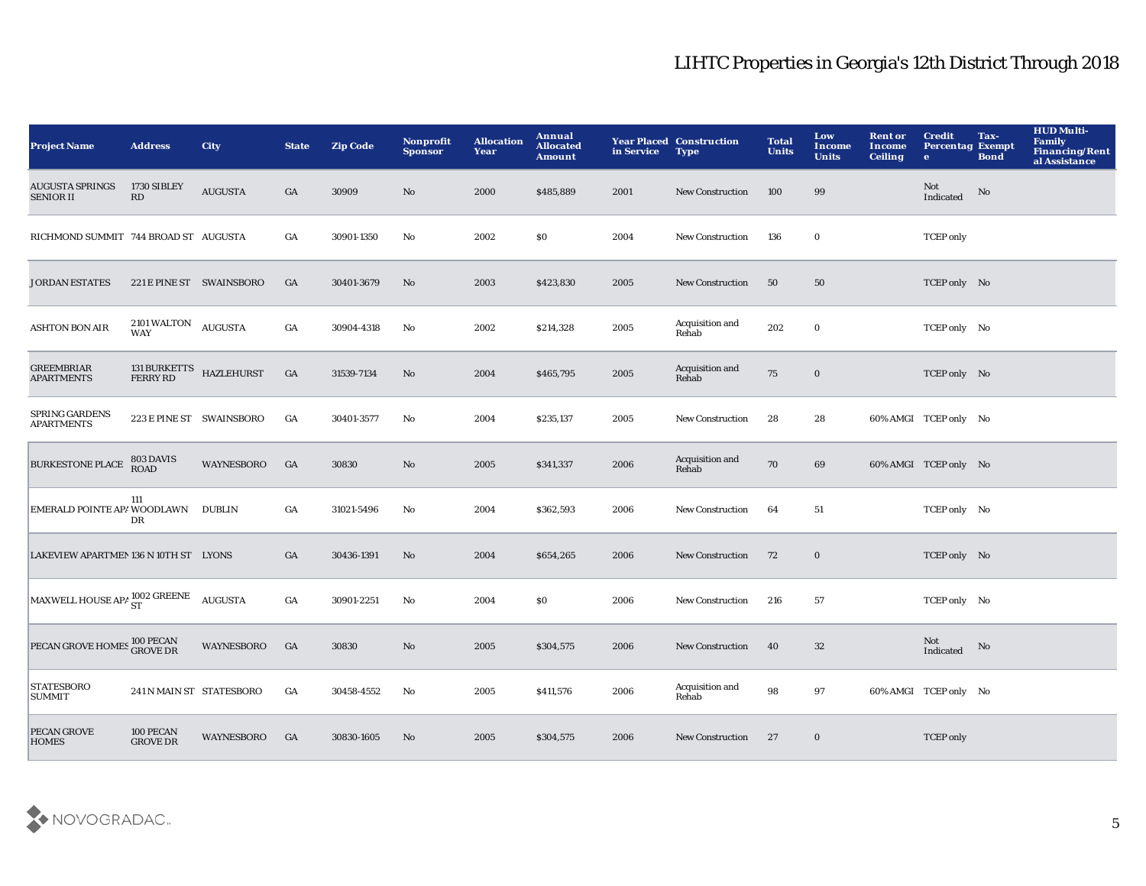| <b>Project Name</b>                        | <b>Address</b>                         | <b>City</b>              | <b>State</b>     | <b>Zip Code</b> | Nonprofit<br><b>Sponsor</b> | <b>Allocation</b><br>Year | Annual<br><b>Allocated</b><br><b>Amount</b> | in Service | <b>Year Placed Construction</b><br><b>Type</b> | <b>Total</b><br><b>Units</b> | Low<br><b>Income</b><br><b>Units</b> | <b>Rent or</b><br>Income<br><b>Ceiling</b> | <b>Credit</b><br><b>Percentag Exempt</b><br>$\bullet$ | Tax-<br><b>Bond</b> | <b>HUD Multi-</b><br>Family<br><b>Financing/Rent</b><br>al Assistance |
|--------------------------------------------|----------------------------------------|--------------------------|------------------|-----------------|-----------------------------|---------------------------|---------------------------------------------|------------|------------------------------------------------|------------------------------|--------------------------------------|--------------------------------------------|-------------------------------------------------------|---------------------|-----------------------------------------------------------------------|
| <b>AUGUSTA SPRINGS</b><br><b>SENIOR II</b> | 1730 SIBLEY<br>RD                      | <b>AUGUSTA</b>           | GA               | 30909           | No                          | 2000                      | \$485,889                                   | 2001       | <b>New Construction</b>                        | 100                          | 99                                   |                                            | Not<br>Indicated                                      | No                  |                                                                       |
| RICHMOND SUMMIT 744 BROAD ST AUGUSTA       |                                        |                          | GA               | 30901-1350      | No                          | 2002                      | \$0                                         | 2004       | <b>New Construction</b>                        | 136                          | $\bf{0}$                             |                                            | <b>TCEP</b> only                                      |                     |                                                                       |
| <b>JORDAN ESTATES</b>                      |                                        | 221 E PINE ST SWAINSBORO | GA               | 30401-3679      | No                          | 2003                      | \$423,830                                   | 2005       | <b>New Construction</b>                        | 50                           | 50                                   |                                            | TCEP only No                                          |                     |                                                                       |
| <b>ASHTON BON AIR</b>                      | 2101 WALTON<br><b>WAY</b>              | <b>AUGUSTA</b>           | $_{\mathrm{GA}}$ | 30904-4318      | No                          | 2002                      | \$214,328                                   | 2005       | Acquisition and<br>Rehab                       | 202                          | $\bf{0}$                             |                                            | TCEP only No                                          |                     |                                                                       |
| <b>GREEMBRIAR</b><br><b>APARTMENTS</b>     | 131 BURKETTS<br>FERRY RD<br>HAZLEHURST |                          | GA               | 31539-7134      | $\mathbf{N}\mathbf{o}$      | 2004                      | \$465,795                                   | 2005       | Acquisition and<br>Rehab                       | 75                           | $\bf{0}$                             |                                            | TCEP only No                                          |                     |                                                                       |
| SPRING GARDENS<br><b>APARTMENTS</b>        |                                        | 223 E PINE ST SWAINSBORO | GA               | 30401-3577      | No                          | 2004                      | \$235,137                                   | 2005       | <b>New Construction</b>                        | 28                           | 28                                   |                                            | 60% AMGI TCEP only No                                 |                     |                                                                       |
| <b>BURKESTONE PLACE</b>                    | 803 DAVIS<br><b>ROAD</b>               | WAYNESBORO               | GA               | 30830           | No                          | 2005                      | \$341,337                                   | 2006       | Acquisition and<br>Rehab                       | 70                           | 69                                   |                                            | 60% AMGI TCEP only No                                 |                     |                                                                       |
| EMERALD POINTE APA WOODLAWN DUBLIN         | 111<br>DR                              |                          | GA               | 31021-5496      | No                          | 2004                      | \$362,593                                   | 2006       | <b>New Construction</b>                        | 64                           | 51                                   |                                            | TCEP only No                                          |                     |                                                                       |
| LAKEVIEW APARTMEN 136 N 10TH ST LYONS      |                                        |                          | GA               | 30436-1391      | No                          | 2004                      | \$654,265                                   | 2006       | <b>New Construction</b>                        | 72                           | $\bf{0}$                             |                                            | TCEP only No                                          |                     |                                                                       |
| MAXWELL HOUSE APA ST                       |                                        | <b>AUGUSTA</b>           | GA               | 30901-2251      | No                          | 2004                      | \$0                                         | 2006       | <b>New Construction</b>                        | 216                          | 57                                   |                                            | TCEP only No                                          |                     |                                                                       |
| PECAN GROVE HOMES 100 PECAN                |                                        | <b>WAYNESBORO</b>        | GA               | 30830           | $\mathbf{No}$               | 2005                      | \$304,575                                   | 2006       | <b>New Construction</b>                        | 40                           | 32                                   |                                            | Not<br>Indicated                                      | No                  |                                                                       |
| <b>STATESBORO</b><br><b>SUMMIT</b>         | 241 N MAIN ST STATESBORO               |                          | GA               | 30458-4552      | No                          | 2005                      | \$411,576                                   | 2006       | Acquisition and<br>Rehab                       | 98                           | 97                                   |                                            | 60% AMGI TCEP only No                                 |                     |                                                                       |
| PECAN GROVE<br><b>HOMES</b>                | 100 PECAN<br><b>GROVE DR</b>           | WAYNESBORO               | GA               | 30830-1605      | No                          | 2005                      | \$304,575                                   | 2006       | <b>New Construction</b>                        | 27                           | $\bf{0}$                             |                                            | <b>TCEP</b> only                                      |                     |                                                                       |

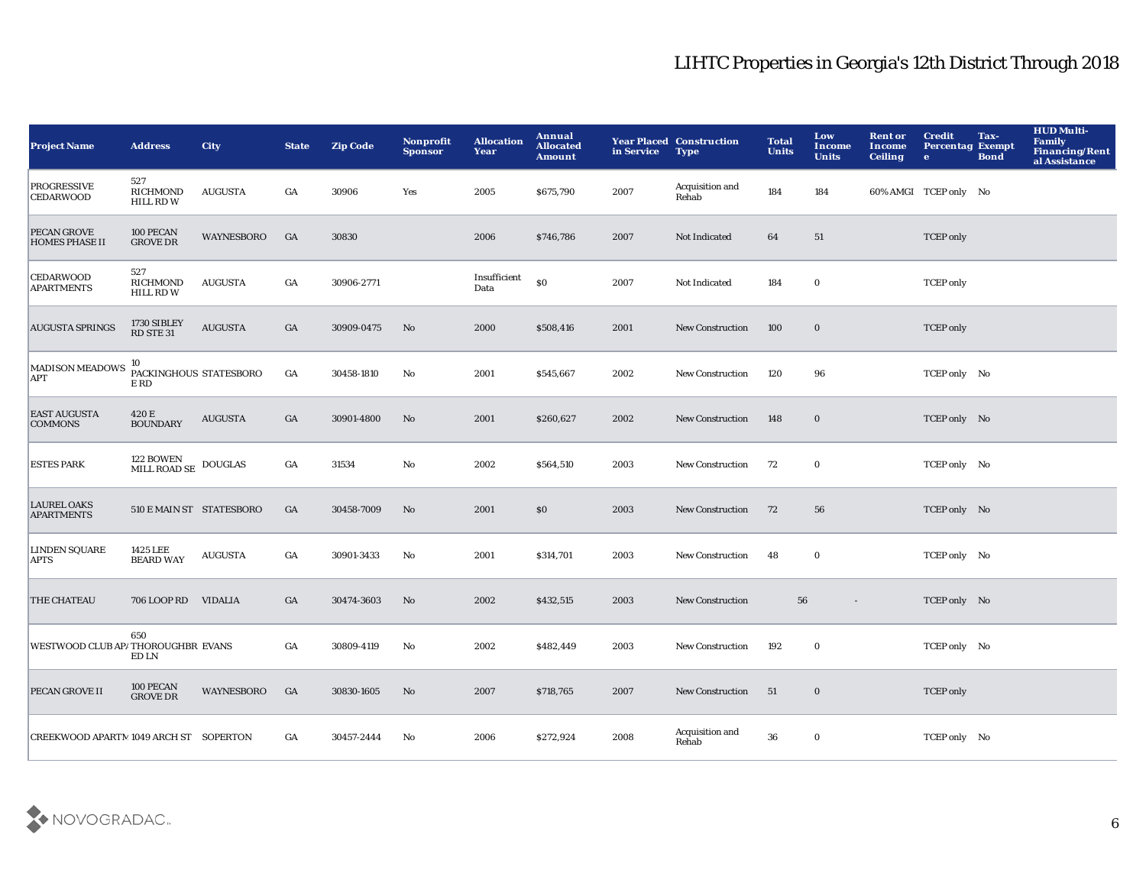| <b>Project Name</b>                     | <b>Address</b>                                             | <b>City</b>       | <b>State</b> | <b>Zip Code</b> | Nonprofit<br><b>Sponsor</b> | <b>Allocation</b><br>Year | <b>Annual</b><br><b>Allocated</b><br><b>Amount</b> | in Service | <b>Year Placed Construction</b><br><b>Type</b> | <b>Total</b><br><b>Units</b> | Low<br>Income<br><b>Units</b> | <b>Rent or</b><br>Income<br><b>Ceiling</b> | <b>Credit</b><br><b>Percentag Exempt</b><br>$\bullet$ | Tax-<br><b>Bond</b> | <b>HUD Multi-</b><br><b>Family</b><br><b>Financing/Rent</b><br>al Assistance |
|-----------------------------------------|------------------------------------------------------------|-------------------|--------------|-----------------|-----------------------------|---------------------------|----------------------------------------------------|------------|------------------------------------------------|------------------------------|-------------------------------|--------------------------------------------|-------------------------------------------------------|---------------------|------------------------------------------------------------------------------|
| <b>PROGRESSIVE</b><br><b>CEDARWOOD</b>  | 527<br><b>RICHMOND</b><br><b>HILL RD W</b>                 | <b>AUGUSTA</b>    | GA           | 30906           | Yes                         | 2005                      | \$675,790                                          | 2007       | Acquisition and<br>Rehab                       | 184                          | 184                           |                                            | 60% AMGI TCEP only No                                 |                     |                                                                              |
| PECAN GROVE<br><b>HOMES PHASE II</b>    | 100 PECAN<br><b>GROVE DR</b>                               | <b>WAYNESBORO</b> | GA           | 30830           |                             | 2006                      | \$746,786                                          | 2007       | Not Indicated                                  | 64                           | 51                            |                                            | <b>TCEP</b> only                                      |                     |                                                                              |
| <b>CEDARWOOD</b><br><b>APARTMENTS</b>   | 527<br>RICHMOND<br><b>HILL RD W</b>                        | AUGUSTA           | GA           | 30906-2771      |                             | Insufficient<br>Data      | \$0                                                | 2007       | Not Indicated                                  | 184                          | $\bf{0}$                      |                                            | <b>TCEP</b> only                                      |                     |                                                                              |
| <b>AUGUSTA SPRINGS</b>                  | 1730 SIBLEY<br>RD STE 31                                   | <b>AUGUSTA</b>    | GA           | 30909-0475      | No                          | 2000                      | \$508,416                                          | 2001       | <b>New Construction</b>                        | 100                          | $\mathbf 0$                   |                                            | <b>TCEP</b> only                                      |                     |                                                                              |
| MADISON MEADOWS<br>APT                  | 10<br>PACKINGHOUS STATESBORO<br>$\mathop{\hbox{\rm E}}$ RD |                   | GA           | 30458-1810      | No                          | 2001                      | \$545,667                                          | 2002       | <b>New Construction</b>                        | 120                          | 96                            |                                            | TCEP only No                                          |                     |                                                                              |
| <b>EAST AUGUSTA</b><br><b>COMMONS</b>   | 420 E<br><b>BOUNDARY</b>                                   | <b>AUGUSTA</b>    | GA           | 30901-4800      | No                          | 2001                      | \$260,627                                          | 2002       | <b>New Construction</b>                        | 148                          | $\bf{0}$                      |                                            | TCEP only No                                          |                     |                                                                              |
| <b>ESTES PARK</b>                       | $122$ BOWEN $$\tt DOUTLAS$$ MILL ROAD SE                   |                   | GA           | 31534           | No                          | 2002                      | \$564,510                                          | 2003       | <b>New Construction</b>                        | 72                           | $\bf{0}$                      |                                            | TCEP only No                                          |                     |                                                                              |
| <b>LAUREL OAKS</b><br><b>APARTMENTS</b> | 510 E MAIN ST STATESBORO                                   |                   | GA           | 30458-7009      | No                          | 2001                      | \$0                                                | 2003       | <b>New Construction</b>                        | 72                           | 56                            |                                            | TCEP only No                                          |                     |                                                                              |
| <b>LINDEN SQUARE</b><br><b>APTS</b>     | 1425 LEE<br><b>BEARD WAY</b>                               | AUGUSTA           | GA           | 30901-3433      | No                          | 2001                      | \$314,701                                          | 2003       | <b>New Construction</b>                        | 48                           | $\bf{0}$                      |                                            | TCEP only No                                          |                     |                                                                              |
| THE CHATEAU                             | 706 LOOP RD                                                | VIDALIA           | GA           | 30474-3603      | No                          | 2002                      | \$432,515                                          | 2003       | <b>New Construction</b>                        | 56                           |                               |                                            | TCEP only No                                          |                     |                                                                              |
| WESTWOOD CLUB AP/THOROUGHBR EVANS       | 650<br>ED LN                                               |                   | GA           | 30809-4119      | No                          | 2002                      | \$482,449                                          | 2003       | <b>New Construction</b>                        | 192                          | $\bf{0}$                      |                                            | TCEP only No                                          |                     |                                                                              |
| PECAN GROVE II                          | 100 PECAN<br><b>GROVE DR</b>                               | WAYNESBORO        | GA           | 30830-1605      | No                          | 2007                      | \$718,765                                          | 2007       | <b>New Construction</b>                        | 51                           | $\bf{0}$                      |                                            | <b>TCEP</b> only                                      |                     |                                                                              |
| CREEKWOOD APARTM1049 ARCH ST SOPERTON   |                                                            |                   | GA           | 30457-2444      | No                          | 2006                      | \$272,924                                          | 2008       | Acquisition and<br>Rehab                       | 36                           | $\bf{0}$                      |                                            | TCEP only No                                          |                     |                                                                              |

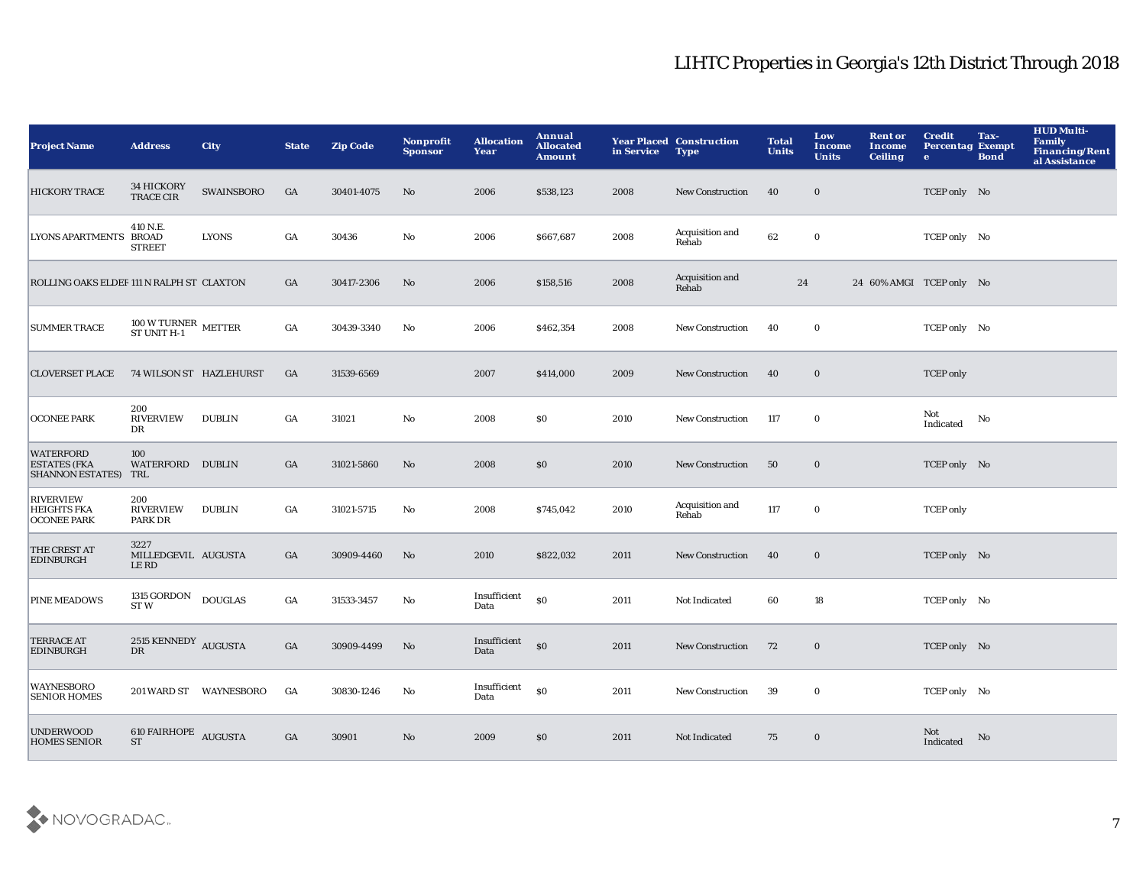| <b>Project Name</b>                                             | <b>Address</b>                               | <b>City</b>            | <b>State</b>     | <b>Zip Code</b> | <b>Nonprofit</b><br><b>Sponsor</b> | <b>Allocation</b><br>Year | Annual<br><b>Allocated</b><br><b>Amount</b> | in Service | <b>Year Placed Construction</b><br><b>Type</b> | <b>Total</b><br><b>Units</b> | Low<br><b>Income</b><br><b>Units</b> | <b>Rent or</b><br>Income<br><b>Ceiling</b> | <b>Credit</b><br><b>Percentag Exempt</b><br>$\bullet$ | Tax-<br><b>Bond</b> | <b>HUD Multi-</b><br>Family<br><b>Financing/Rent</b><br>al Assistance |
|-----------------------------------------------------------------|----------------------------------------------|------------------------|------------------|-----------------|------------------------------------|---------------------------|---------------------------------------------|------------|------------------------------------------------|------------------------------|--------------------------------------|--------------------------------------------|-------------------------------------------------------|---------------------|-----------------------------------------------------------------------|
| <b>HICKORY TRACE</b>                                            | <b>34 HICKORY</b><br><b>TRACE CIR</b>        | <b>SWAINSBORO</b>      | GA               | 30401-4075      | No                                 | 2006                      | \$538,123                                   | 2008       | <b>New Construction</b>                        | 40                           | $\bf{0}$                             |                                            | TCEP only No                                          |                     |                                                                       |
| LYONS APARTMENTS BROAD                                          | 410 N.E.<br><b>STREET</b>                    | <b>LYONS</b>           | GA               | 30436           | $\mathbf{N}\mathbf{o}$             | 2006                      | \$667,687                                   | 2008       | Acquisition and<br>Rehab                       | 62                           | $\bf{0}$                             |                                            | TCEP only No                                          |                     |                                                                       |
| ROLLING OAKS ELDER 111 N RALPH ST CLAXTON                       |                                              |                        | GA               | 30417-2306      | No                                 | 2006                      | \$158,516                                   | 2008       | Acquisition and<br>Rehab                       | 24                           |                                      | 24 60% AMGI TCEP only No                   |                                                       |                     |                                                                       |
| <b>SUMMER TRACE</b>                                             | $100$ W TURNER<br>$$\tt METTER$$ ST UNIT H-1 |                        | $_{\mathrm{GA}}$ | 30439-3340      | No                                 | 2006                      | \$462,354                                   | 2008       | <b>New Construction</b>                        | 40                           | $\mathbf 0$                          |                                            | TCEP only No                                          |                     |                                                                       |
| <b>CLOVERSET PLACE</b>                                          | 74 WILSON ST HAZLEHURST                      |                        | GA               | 31539-6569      |                                    | 2007                      | \$414,000                                   | 2009       | New Construction                               | 40                           | $\bf{0}$                             |                                            | <b>TCEP</b> only                                      |                     |                                                                       |
| <b>OCONEE PARK</b>                                              | 200<br><b>RIVERVIEW</b><br>DR                | <b>DUBLIN</b>          | GA               | 31021           | No                                 | 2008                      | \$0                                         | 2010       | New Construction                               | 117                          | $\bf{0}$                             |                                            | Not<br>Indicated                                      | No                  |                                                                       |
| <b>WATERFORD</b><br><b>ESTATES (FKA</b><br>SHANNON ESTATES) TRL | 100<br>WATERFORD DUBLIN                      |                        | GA               | 31021-5860      | No                                 | 2008                      | \$0                                         | 2010       | <b>New Construction</b>                        | 50                           | $\mathbf 0$                          |                                            | TCEP only No                                          |                     |                                                                       |
| <b>RIVERVIEW</b><br><b>HEIGHTS FKA</b><br><b>OCONEE PARK</b>    | 200<br><b>RIVERVIEW</b><br>PARK DR           | <b>DUBLIN</b>          | GA               | 31021-5715      | No                                 | 2008                      | \$745,042                                   | 2010       | Acquisition and<br>Rehab                       | 117                          | $\mathbf 0$                          |                                            | <b>TCEP</b> only                                      |                     |                                                                       |
| THE CREST AT<br><b>EDINBURGH</b>                                | 3227<br>MILLEDGEVIL AUGUSTA<br>LE RD         |                        | GA               | 30909-4460      | No                                 | 2010                      | \$822,032                                   | 2011       | New Construction                               | 40                           | $\mathbf 0$                          |                                            | TCEP only No                                          |                     |                                                                       |
| <b>PINE MEADOWS</b>                                             | 1315 GORDON<br><b>STW</b>                    | <b>DOUGLAS</b>         | $_{\mathrm{GA}}$ | 31533-3457      | No                                 | Insufficient<br>Data      | \$0                                         | 2011       | Not Indicated                                  | 60                           | 18                                   |                                            | TCEP only No                                          |                     |                                                                       |
| <b>TERRACE AT</b><br><b>EDINBURGH</b>                           | 2515 KENNEDY AUGUSTA<br><b>DR</b>            |                        | GA               | 30909-4499      | No                                 | Insufficient<br>Data      | $\mathbf{S}$                                | 2011       | <b>New Construction</b>                        | 72                           | $\bf{0}$                             |                                            | TCEP only No                                          |                     |                                                                       |
| <b>WAYNESBORO</b><br><b>SENIOR HOMES</b>                        |                                              | 201 WARD ST WAYNESBORO | GA               | 30830-1246      | No                                 | Insufficient<br>Data      | \$0                                         | 2011       | <b>New Construction</b>                        | 39                           | $\bf{0}$                             |                                            | TCEP only No                                          |                     |                                                                       |
| <b>UNDERWOOD</b><br><b>HOMES SENIOR</b>                         | 610 FAIRHOPE AUGUSTA<br><b>ST</b>            |                        | GA               | 30901           | No                                 | 2009                      | \$0                                         | 2011       | Not Indicated                                  | 75                           | $\bf{0}$                             |                                            | Not<br>Indicated                                      | No                  |                                                                       |

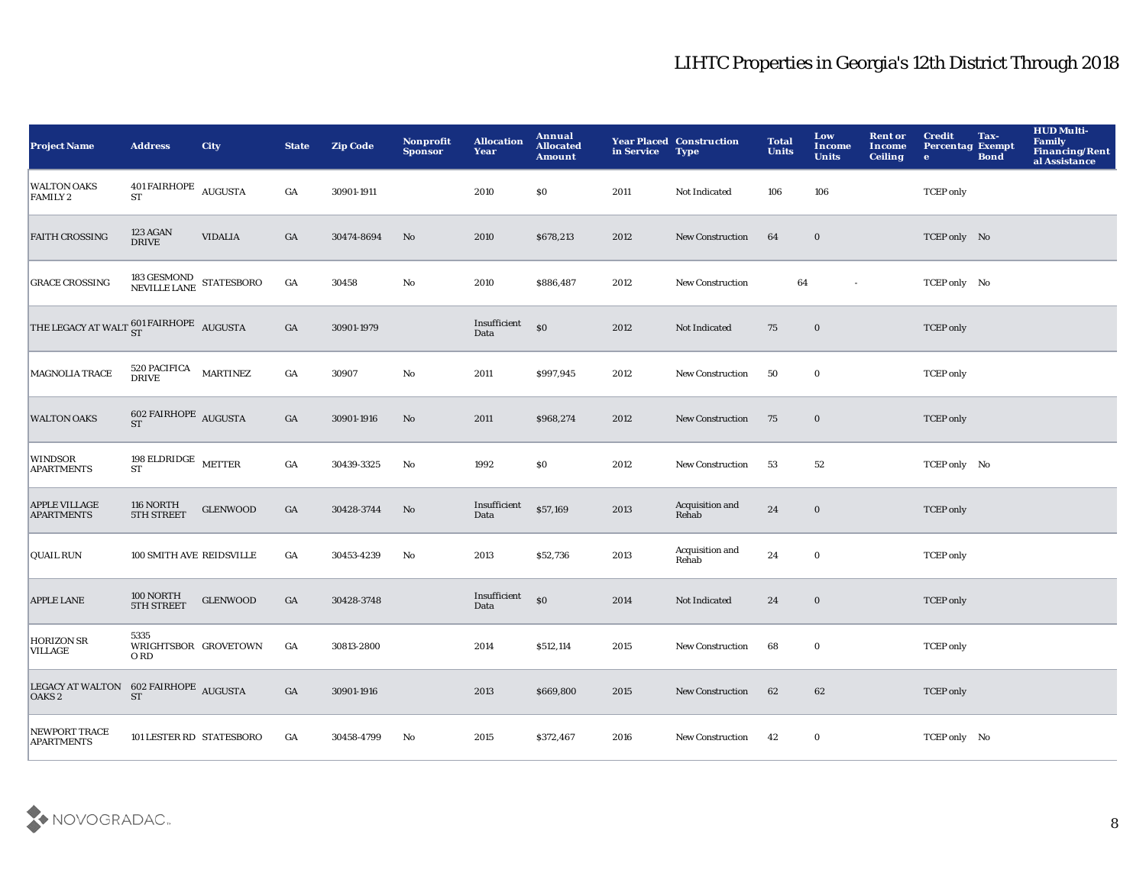| <b>Project Name</b>                                        | <b>Address</b>                             | <b>City</b>                                            | <b>State</b>     | <b>Zip Code</b> | <b>Nonprofit</b><br><b>Sponsor</b> | <b>Allocation</b><br>Year | Annual<br><b>Allocated</b><br><b>Amount</b>      | in Service | <b>Year Placed Construction</b><br><b>Type</b> | <b>Total</b><br><b>Units</b> | Low<br>Income<br><b>Units</b> | <b>Rent or</b><br><b>Income</b><br><b>Ceiling</b> | <b>Credit</b><br><b>Percentag Exempt</b><br>$\bullet$ | Tax-<br><b>Bond</b> | <b>HUD Multi-</b><br><b>Family</b><br>Financing/Rent<br>al Assistance |
|------------------------------------------------------------|--------------------------------------------|--------------------------------------------------------|------------------|-----------------|------------------------------------|---------------------------|--------------------------------------------------|------------|------------------------------------------------|------------------------------|-------------------------------|---------------------------------------------------|-------------------------------------------------------|---------------------|-----------------------------------------------------------------------|
| <b>WALTON OAKS</b><br><b>FAMILY 2</b>                      | $401\,$ FAIRHOPE $\,$ AUGUSTA<br><b>ST</b> |                                                        | GA               | 30901-1911      |                                    | 2010                      | \$0                                              | 2011       | Not Indicated                                  | 106                          | 106                           |                                                   | <b>TCEP</b> only                                      |                     |                                                                       |
| <b>FAITH CROSSING</b>                                      | 123 AGAN<br><b>DRIVE</b>                   | <b>VIDALIA</b>                                         | $_{\mathrm{GA}}$ | 30474-8694      | No                                 | 2010                      | \$678,213                                        | 2012       | New Construction                               | 64                           | $\mathbf 0$                   |                                                   | TCEP only No                                          |                     |                                                                       |
| <b>GRACE CROSSING</b>                                      |                                            | $183\,\mathrm{GESMOND}\xspace$ STATESBORO NEVILLE LANE | $_{\mathrm{GA}}$ | 30458           | $\mathbf {No}$                     | 2010                      | \$886,487                                        | 2012       | <b>New Construction</b>                        | 64                           | $\sim$                        |                                                   | TCEP only No                                          |                     |                                                                       |
| THE LEGACY AT WALT $_{\rm ST}^{601\rm~FAIRHOPE}$ AUGUSTA   |                                            |                                                        | $_{\mathrm{GA}}$ | 30901-1979      |                                    | Insufficient<br>Data      | \$0                                              | 2012       | Not Indicated                                  | 75                           | $\mathbf 0$                   |                                                   | <b>TCEP</b> only                                      |                     |                                                                       |
| MAGNOLIA TRACE                                             | $520\, \mathrm{PACIFICA}$ MARTINEZ DRIVE   |                                                        | GA               | 30907           | $\mathbf{No}$                      | 2011                      | \$997,945                                        | 2012       | <b>New Construction</b>                        | 50                           | $\mathbf 0$                   |                                                   | <b>TCEP</b> only                                      |                     |                                                                       |
| <b>WALTON OAKS</b>                                         | $602$ FAIRHOPE $\,$ AUGUSTA ST             |                                                        | GA               | 30901-1916      | No                                 | 2011                      | \$968,274                                        | 2012       | <b>New Construction</b>                        | 75                           | $\bf{0}$                      |                                                   | <b>TCEP</b> only                                      |                     |                                                                       |
| WINDSOR<br>APARTMENTS                                      | 198 ELDRIDGE $\,$ METTER<br><b>ST</b>      |                                                        | $_{\mathrm{GA}}$ | 30439-3325      | No                                 | 1992                      | \$0                                              | 2012       | <b>New Construction</b>                        | 53                           | 52                            |                                                   | TCEP only No                                          |                     |                                                                       |
| <b>APPLE VILLAGE</b><br><b>APARTMENTS</b>                  | 116 NORTH<br>5TH STREET                    | <b>GLENWOOD</b>                                        | $_{\mathrm{GA}}$ | 30428-3744      | No                                 | Insufficient<br>Data      | \$57,169                                         | 2013       | Acquisition and<br>Rehab                       | 24                           | $\mathbf 0$                   |                                                   | <b>TCEP</b> only                                      |                     |                                                                       |
| <b>QUAIL RUN</b>                                           | 100 SMITH AVE REIDSVILLE                   |                                                        | $_{\mathrm{GA}}$ | 30453-4239      | No                                 | 2013                      | \$52,736                                         | 2013       | Acquisition and<br>Rehab                       | 24                           | $\mathbf 0$                   |                                                   | <b>TCEP</b> only                                      |                     |                                                                       |
| <b>APPLE LANE</b>                                          | 100 NORTH<br><b>5TH STREET</b>             | <b>GLENWOOD</b>                                        | $_{\mathrm{GA}}$ | 30428-3748      |                                    | Insufficient<br>Data      | $\boldsymbol{\mathsf{S}}\boldsymbol{\mathsf{O}}$ | 2014       | Not Indicated                                  | 24                           | $\mathbf 0$                   |                                                   | <b>TCEP</b> only                                      |                     |                                                                       |
| <b>HORIZON SR</b><br>VILLAGE                               | 5335<br>O RD                               | WRIGHTSBOR GROVETOWN                                   | GA               | 30813-2800      |                                    | 2014                      | \$512,114                                        | 2015       | New Construction                               | 68                           | $\mathbf 0$                   |                                                   | <b>TCEP</b> only                                      |                     |                                                                       |
| LEGACY AT WALTON 602 FAIRHOPE AUGUSTA<br>OAKS <sub>2</sub> | <b>ST</b>                                  |                                                        | GA               | 30901-1916      |                                    | 2013                      | \$669,800                                        | 2015       | <b>New Construction</b>                        | 62                           | 62                            |                                                   | <b>TCEP</b> only                                      |                     |                                                                       |
| NEWPORT TRACE<br><b>APARTMENTS</b>                         | 101 LESTER RD STATESBORO                   |                                                        | GA               | 30458-4799      | No                                 | 2015                      | \$372,467                                        | 2016       | <b>New Construction</b>                        | 42                           | $\bf{0}$                      |                                                   | TCEP only No                                          |                     |                                                                       |